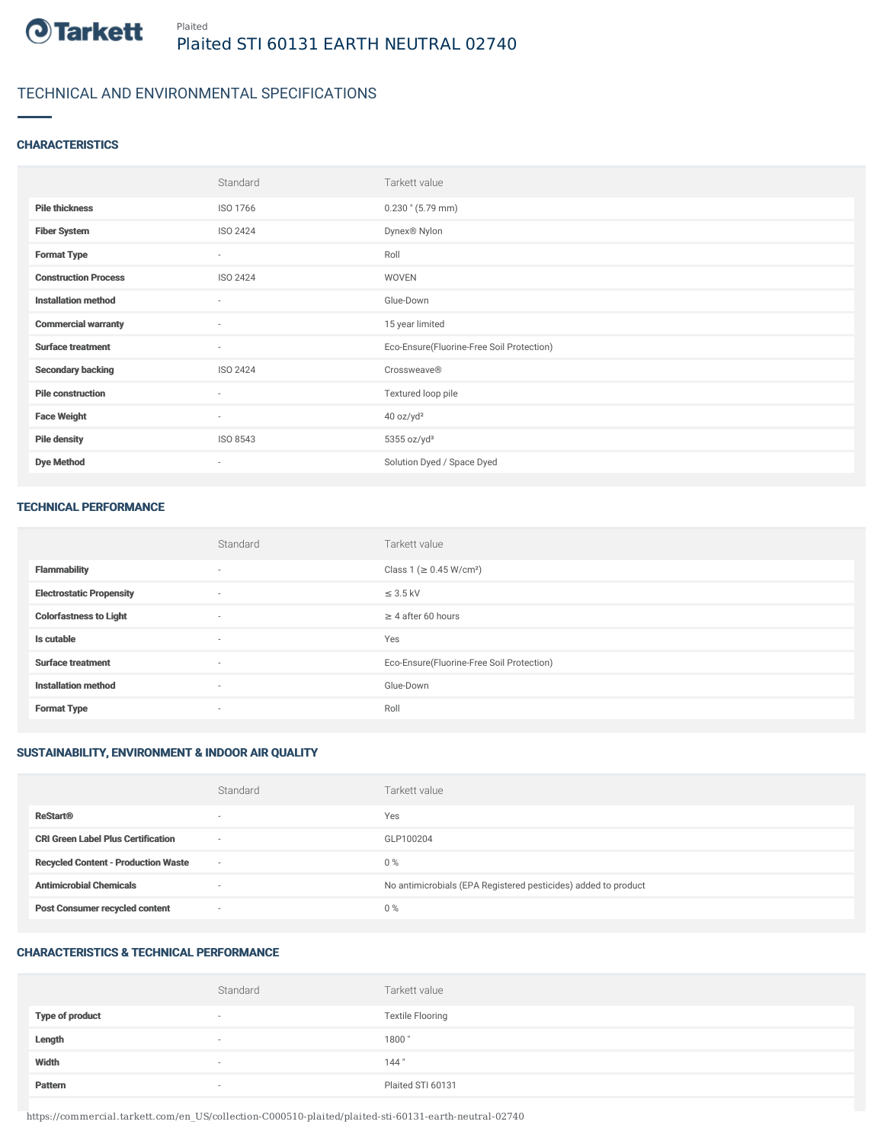

## TECHNICAL AND ENVIRONMENTAL SPECIFICATIONS

#### **CHARACTERISTICS**

|                             | Standard                 | Tarkett value                             |
|-----------------------------|--------------------------|-------------------------------------------|
| <b>Pile thickness</b>       | ISO 1766                 | $0.230$ " (5.79 mm)                       |
| <b>Fiber System</b>         | ISO 2424                 | Dynex® Nylon                              |
| <b>Format Type</b>          | $\sim$                   | Roll                                      |
| <b>Construction Process</b> | ISO 2424                 | WOVEN                                     |
| <b>Installation method</b>  | $\sim$                   | Glue-Down                                 |
| <b>Commercial warranty</b>  | $\overline{\phantom{a}}$ | 15 year limited                           |
| <b>Surface treatment</b>    | $\sim$                   | Eco-Ensure(Fluorine-Free Soil Protection) |
| <b>Secondary backing</b>    | ISO 2424                 | Crossweave®                               |
| <b>Pile construction</b>    | $\sim$                   | Textured loop pile                        |
| <b>Face Weight</b>          | $\sim$                   | 40 oz/yd <sup>2</sup>                     |
| <b>Pile density</b>         | ISO 8543                 | $5355$ oz/yd <sup>3</sup>                 |
| <b>Dye Method</b>           | $\sim$                   | Solution Dyed / Space Dyed                |

#### TECHNICAL PERFORMANCE

|                                 | Standard                 | Tarkett value                             |
|---------------------------------|--------------------------|-------------------------------------------|
| <b>Flammability</b>             | $\overline{\phantom{a}}$ | Class 1 (≥ 0.45 W/cm <sup>2</sup> )       |
| <b>Electrostatic Propensity</b> | $\overline{\phantom{a}}$ | $\leq$ 3.5 kV                             |
| <b>Colorfastness to Light</b>   | $\overline{\phantom{a}}$ | $\geq$ 4 after 60 hours                   |
| Is cutable                      | $\overline{\phantom{a}}$ | Yes                                       |
| <b>Surface treatment</b>        |                          | Eco-Ensure(Fluorine-Free Soil Protection) |
| <b>Installation method</b>      | $\overline{\phantom{a}}$ | Glue-Down                                 |
| <b>Format Type</b>              |                          | Roll                                      |

### SUSTAINABILITY, ENVIRONMENT & INDOOR AIR QUALITY

|                                            | Standard                 | Tarkett value                                                  |
|--------------------------------------------|--------------------------|----------------------------------------------------------------|
| <b>ReStart®</b>                            | $\overline{\phantom{a}}$ | Yes                                                            |
| <b>CRI Green Label Plus Certification</b>  | $\sim$                   | GLP100204                                                      |
| <b>Recycled Content - Production Waste</b> | $\sim$                   | $0\%$                                                          |
| <b>Antimicrobial Chemicals</b>             | $\overline{\phantom{a}}$ | No antimicrobials (EPA Registered pesticides) added to product |
| <b>Post Consumer recycled content</b>      | $\sim$                   | $0\%$                                                          |

#### CHARACTERISTICS & TECHNICAL PERFORMANCE

|                        | Standard                 | Tarkett value           |
|------------------------|--------------------------|-------------------------|
| <b>Type of product</b> | $\sim$                   | <b>Textile Flooring</b> |
| Length                 | $\sim$                   | 1800"                   |
| Width                  | $\sim$                   | 144"                    |
| Pattern                | $\overline{\phantom{a}}$ | Plaited STI 60131       |

https://commercial.tarkett.com/en\_US/collection-C000510-plaited/plaited-sti-60131-earth-neutral-02740